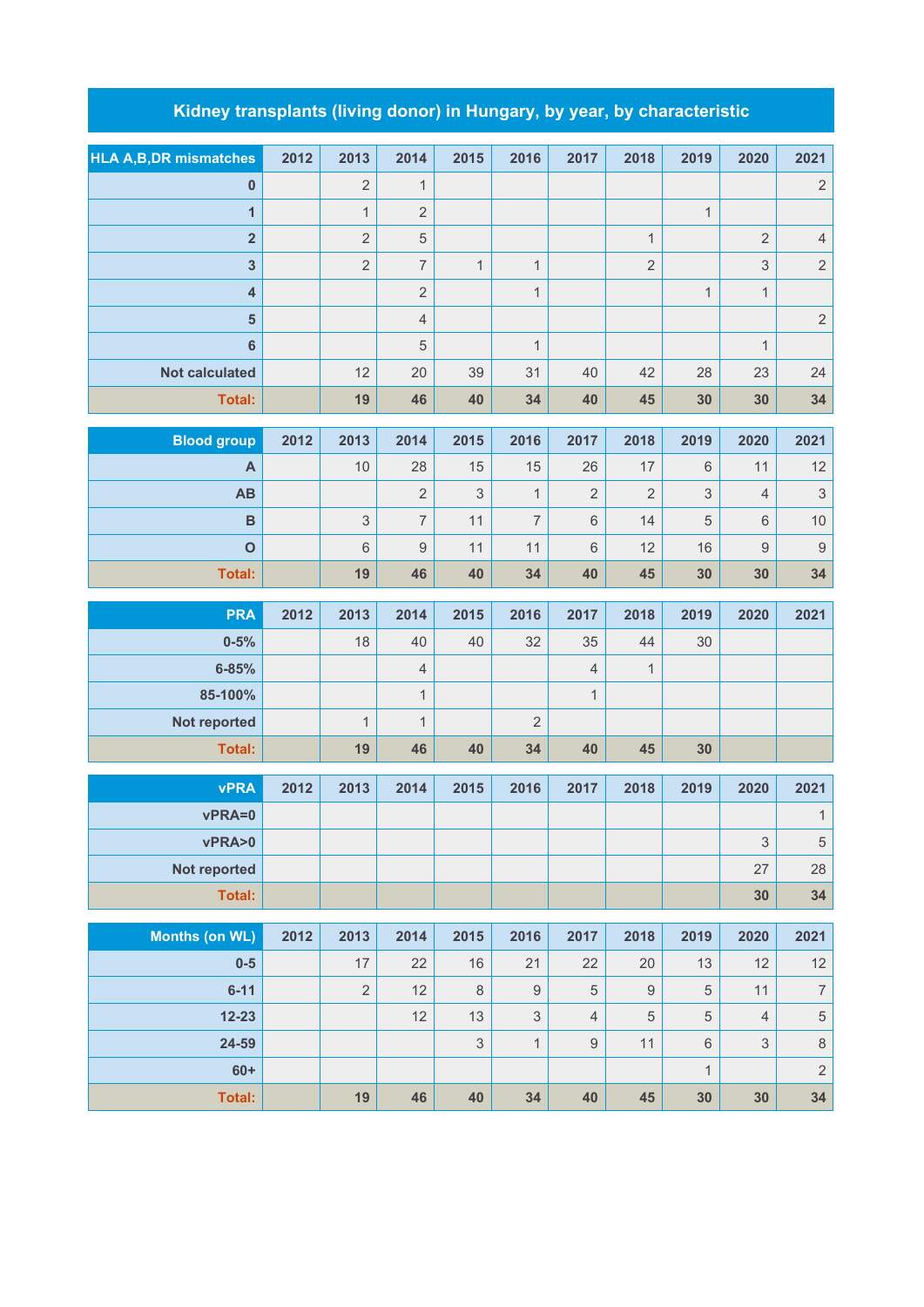## **Kidney transplants (living donor) in Hungary, by year, by characteristic**

| <b>HLA A, B, DR mismatches</b> | 2012 | 2013           | 2014           | 2015           | 2016             | 2017           | 2018             | 2019         | 2020           | 2021             |
|--------------------------------|------|----------------|----------------|----------------|------------------|----------------|------------------|--------------|----------------|------------------|
| $\pmb{0}$                      |      | $\overline{2}$ | $\mathbf{1}$   |                |                  |                |                  |              |                | $\overline{c}$   |
| $\overline{1}$                 |      | $\mathbf{1}$   | $\overline{2}$ |                |                  |                |                  | $\mathbf{1}$ |                |                  |
| $\overline{\mathbf{2}}$        |      | $\overline{2}$ | 5              |                |                  |                | $\mathbf{1}$     |              | $\overline{2}$ | $\overline{4}$   |
| $\overline{\mathbf{3}}$        |      | $\overline{2}$ | $\overline{7}$ | $\overline{1}$ | $\mathbf{1}$     |                | $\overline{2}$   |              | 3              | $\overline{2}$   |
| $\overline{\mathbf{4}}$        |      |                | $\overline{2}$ |                | $\mathbf{1}$     |                |                  | $\mathbf{1}$ | $\mathbf{1}$   |                  |
| $\overline{\mathbf{5}}$        |      |                | $\overline{4}$ |                |                  |                |                  |              |                | $\overline{c}$   |
| $6\phantom{a}$                 |      |                | 5              |                | $\mathbf{1}$     |                |                  |              | $\mathbf{1}$   |                  |
| <b>Not calculated</b>          |      | 12             | 20             | 39             | 31               | 40             | 42               | 28           | 23             | 24               |
| <b>Total:</b>                  |      | 19             | 46             | 40             | 34               | 40             | 45               | 30           | 30             | 34               |
| <b>Blood group</b>             | 2012 | 2013           | 2014           | 2015           | 2016             | 2017           | 2018             | 2019         | 2020           | 2021             |
| A                              |      | 10             | 28             | 15             | 15               | 26             | 17               | $6\,$        | 11             | 12               |
| AB                             |      |                | $\overline{2}$ | 3              | $\mathbf{1}$     | $\overline{2}$ | $\overline{2}$   | 3            | $\overline{4}$ | 3                |
| $\overline{B}$                 |      | $\mathsf 3$    | $\overline{7}$ | 11             | $\overline{7}$   | $6\,$          | 14               | 5            | 6              | 10               |
| $\mathbf{o}$                   |      | $6\,$          | $\hbox{9}$     | 11             | 11               | $6\,$          | 12               | 16           | 9              | $\mathbf 9$      |
| Total:                         |      | 19             | 46             | 40             | 34               | 40             | 45               | 30           | 30             | 34               |
| <b>PRA</b>                     | 2012 | 2013           | 2014           | 2015           | 2016             | 2017           | 2018             | 2019         | 2020           | 2021             |
| $0 - 5%$                       |      | 18             | 40             | 40             | 32               | 35             | 44               | 30           |                |                  |
| $6 - 85%$                      |      |                | $\overline{4}$ |                |                  | $\overline{4}$ | $\mathbf{1}$     |              |                |                  |
| 85-100%                        |      |                | $\mathbf{1}$   |                |                  | $\mathbf{1}$   |                  |              |                |                  |
| Not reported                   |      | $\mathbf{1}$   | $\mathbf{1}$   |                | $\overline{2}$   |                |                  |              |                |                  |
| <b>Total:</b>                  |      | 19             | 46             | 40             | 34               | 40             | 45               | 30           |                |                  |
|                                |      |                |                |                |                  |                |                  |              |                |                  |
| <b>vPRA</b>                    | 2012 | 2013           | 2014           | 2015           | 2016             | 2017           | 2018             | 2019         | 2020           | 2021             |
| vPRA=0                         |      |                |                |                |                  |                |                  |              |                | $\mathbf{1}$     |
| vPRA>0                         |      |                |                |                |                  |                |                  |              | 3              | $\,$ 5 $\,$      |
| Not reported                   |      |                |                |                |                  |                |                  |              | 27             | 28               |
| Total:                         |      |                |                |                |                  |                |                  |              | 30             | 34               |
| <b>Months (on WL)</b>          | 2012 | 2013           | 2014           | 2015           | 2016             | 2017           | 2018             | 2019         | 2020           | 2021             |
| $0-5$                          |      | 17             | 22             | 16             | 21               | 22             | 20               | 13           | 12             | 12               |
| $6 - 11$                       |      | $\sqrt{2}$     | 12             | $\,8\,$        | $\boldsymbol{9}$ | $\sqrt{5}$     | $\boldsymbol{9}$ | $\,$ 5 $\,$  | 11             | $\boldsymbol{7}$ |
| $12 - 23$                      |      |                | 12             | 13             | $\mathfrak{S}$   | $\sqrt{4}$     | $\sqrt{5}$       | 5            | $\overline{4}$ | $\sqrt{5}$       |

**24-59** | | | 3| 1| 9| 11| 6| 3| 8 **60+** 1 2 **Total: 19 46 40 34 40 45 30 30 34**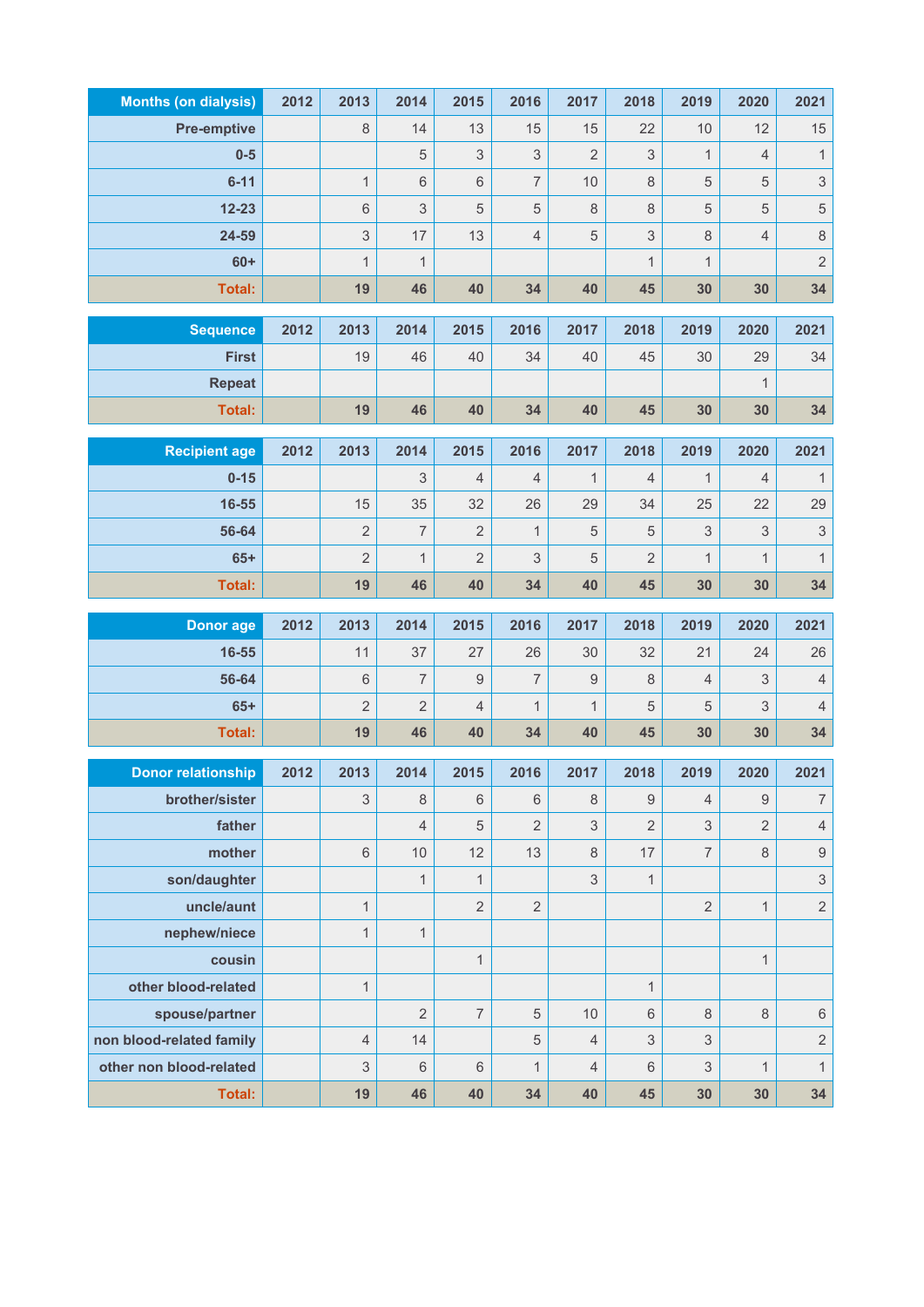| <b>Months (on dialysis)</b> | 2012 | 2013                      | 2014                | 2015             | 2016                 | 2017             | 2018                      | 2019                | 2020                             | 2021                             |
|-----------------------------|------|---------------------------|---------------------|------------------|----------------------|------------------|---------------------------|---------------------|----------------------------------|----------------------------------|
| <b>Pre-emptive</b>          |      | 8                         | 14                  | 13               | 15                   | 15               | 22                        | 10                  | 12                               | 15                               |
| $0-5$                       |      |                           | 5                   | $\mathsf 3$      | 3                    | $\overline{2}$   | $\ensuremath{\mathsf{3}}$ | $\mathbf{1}$        | $\overline{4}$                   | $\mathbf{1}$                     |
| $6 - 11$                    |      | $\mathbf{1}$              | 6                   | $6\phantom{1}$   | $\overline{7}$       | 10               | $\,8\,$                   | 5                   | 5                                | $\sqrt{3}$                       |
| $12 - 23$                   |      | $\,6\,$                   | 3                   | $\sqrt{5}$       | $\overline{5}$       | 8                | 8                         | 5                   | 5                                | $\overline{5}$                   |
| 24-59                       |      | $\ensuremath{\mathsf{3}}$ | 17                  | 13               | $\overline{4}$       | 5                | $\ensuremath{\mathsf{3}}$ | 8                   | $\overline{4}$                   | 8                                |
| $60+$                       |      | $\mathbf{1}$              | $\mathbf{1}$        |                  |                      |                  | $\mathbf{1}$              | $\mathbf{1}$        |                                  | $\overline{2}$                   |
| <b>Total:</b>               |      | 19                        | 46                  | 40               | 34                   | 40               | 45                        | 30                  | 30                               | 34                               |
| <b>Sequence</b>             | 2012 | 2013                      | 2014                | 2015             | 2016                 | 2017             | 2018                      | 2019                | 2020                             | 2021                             |
| <b>First</b>                |      | 19                        | 46                  | 40               | 34                   | 40               | 45                        | 30                  | 29                               | 34                               |
| <b>Repeat</b>               |      |                           |                     |                  |                      |                  |                           |                     | $\mathbf{1}$                     |                                  |
| <b>Total:</b>               |      | 19                        | 46                  | 40               | 34                   | 40               | 45                        | 30                  | 30                               | 34                               |
|                             |      |                           |                     |                  |                      |                  |                           |                     |                                  |                                  |
| <b>Recipient age</b>        | 2012 | 2013                      | 2014                | 2015             | 2016                 | 2017             | 2018                      | 2019                | 2020                             | 2021                             |
| $0 - 15$                    |      |                           | 3                   | $\overline{4}$   | $\overline{4}$       | 1                | 4                         | $\mathbf{1}$        | $\overline{4}$                   | $\mathbf{1}$                     |
| 16-55                       |      | 15                        | 35                  | 32               | 26                   | 29               | 34                        | 25                  | 22                               | 29                               |
| 56-64                       |      | $\overline{2}$            | $\overline{7}$      | $\overline{2}$   | $\mathbf{1}$         | 5                | $\mathbf 5$               | 3                   | $\mathsf 3$                      | $\sqrt{3}$                       |
| $65+$                       |      | $\overline{2}$            | $\mathbf{1}$        | $\overline{2}$   | 3                    | 5                | 2                         | $\mathbf{1}$        | 1                                | $\mathbf{1}$                     |
| Total:                      |      | 19                        | 46                  | 40               | 34                   | 40               | 45                        | 30                  | 30                               | 34                               |
|                             |      |                           |                     |                  |                      |                  |                           |                     |                                  |                                  |
| <b>Donor age</b>            | 2012 | 2013                      | 2014                | 2015             | 2016                 | 2017             | 2018                      | 2019                | 2020                             | 2021                             |
| 16-55                       |      | 11                        | 37                  | 27               | 26                   | 30               | 32                        | 21                  | 24                               | 26                               |
| 56-64                       |      | 6                         | $\overline{7}$      | $\boldsymbol{9}$ | $\overline{7}$       | $\boldsymbol{9}$ | 8                         | 4                   | 3                                | $\sqrt{4}$                       |
| $65+$                       |      | $\overline{2}$            | $\overline{2}$      | $\overline{4}$   | $\mathbf{1}$         | $\mathbf{1}$     | 5                         | 5                   | 3                                | $\sqrt{4}$                       |
| <b>Total:</b>               |      | 19                        | 46                  | 40               | 34                   | 40               | 45                        | 30                  | 30                               | 34                               |
|                             |      |                           |                     |                  |                      |                  |                           |                     |                                  |                                  |
| <b>Donor relationship</b>   | 2012 | 2013                      | 2014                | 2015             | 2016                 | 2017             | 2018                      | 2019                | 2020                             | 2021                             |
| brother/sister              |      | 3                         | 8<br>$\overline{4}$ | $6\phantom{1}$   | $\,6\,$              | 8                | 9                         | $\overline{4}$      | $\overline{9}$<br>$\overline{2}$ | $\boldsymbol{7}$                 |
| father<br>mother            |      | 6                         | 10                  | $\sqrt{5}$<br>12 | $\overline{2}$<br>13 | $\mathsf 3$<br>8 | $\overline{2}$<br>17      | 3<br>$\overline{7}$ | 8                                | $\sqrt{4}$                       |
|                             |      |                           | $\mathbf{1}$        | $\mathbf{1}$     |                      | $\mathfrak 3$    | $\mathbf{1}$              |                     |                                  | $\overline{9}$                   |
| son/daughter<br>uncle/aunt  |      | $\mathbf{1}$              |                     | $\overline{2}$   | $\overline{2}$       |                  |                           | $\overline{2}$      | $\mathbf{1}$                     | $\mathfrak{S}$<br>$\overline{2}$ |
| nephew/niece                |      | $\mathbf{1}$              | $\mathbf{1}$        |                  |                      |                  |                           |                     |                                  |                                  |
| cousin                      |      |                           |                     | $\mathbf{1}$     |                      |                  |                           |                     | $\mathbf{1}$                     |                                  |
| other blood-related         |      | $\mathbf{1}$              |                     |                  |                      |                  | $\mathbf{1}$              |                     |                                  |                                  |
| spouse/partner              |      |                           | $\overline{2}$      | $\overline{7}$   | 5                    | 10               | 6                         | 8                   | $\,8\,$                          | $\,6\,$                          |
| non blood-related family    |      | $\overline{4}$            | 14                  |                  | 5                    | $\overline{4}$   | 3                         | 3                   |                                  | $\sqrt{2}$                       |
| other non blood-related     |      | 3                         | 6                   | $6\,$            | $\mathbf{1}$         | $\overline{4}$   | 6                         | 3                   | $\mathbf{1}$                     | $\mathbf{1}$                     |